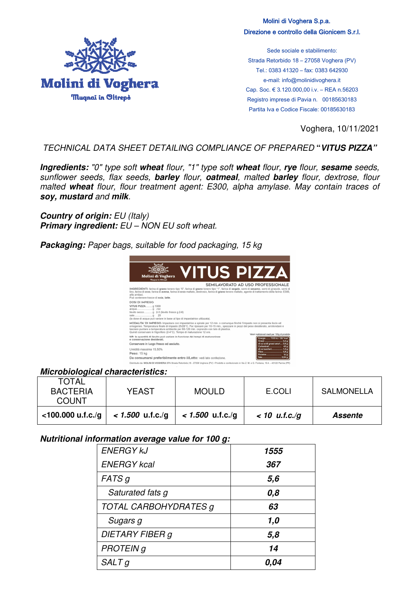

Molini di Voghera S.p.a. Direzione e controllo della Gionicem S.r.l.

Sede sociale e stabilimento: Strada Retorbido 18 – 27058 Voghera (PV) Tel.: 0383 41320 – fax: 0383 642930 e-mail: info@molinidivoghera.it Cap. Soc. € 3.120.000,00 i.v. – REA n.56203 Registro imprese di Pavia n. 00185630183 Partita Iva e Codice Fiscale: 00185630183

Voghera, 10/11/2021

## TECHNICAL DATA SHEET DETAILING COMPLIANCE OF PREPARED **"***VITUS PIZZA"*

*Ingredients:* "0" type soft *wheat* flour, "1" type soft *wheat* flour, *rye* flour, *sesame* seeds, sunflower seeds, flax seeds, *barley* flour, *oatmeal*, malted *barley* flour, dextrose, flour malted *wheat* flour, flour treatment agent: E300, alpha amylase. May contain traces of *soy, mustard* and *milk*.

**Country of origin:** EU (Italy) **Primary ingredient:** EU – NON EU soft wheat.

*Packaging:* Paper bags, suitable for food packaging, 15 kg



## *Microbiological characteristics:*

| TOTAL<br><b>BACTERIA</b><br><b>COUNT</b> | YEAST              | <b>MOULD</b>       | E.COLI          | <b>SALMONELLA</b> |
|------------------------------------------|--------------------|--------------------|-----------------|-------------------|
| $<$ 100.000 u.f.c./g                     | $< 1.500$ u.f.c./q | $< 1.500$ u.f.c./g | $< 10$ u.f.c./g | Assente           |

## *Nutritional information average value for 100 g:*

| <b>ENERGY KJ</b>             | 1555 |  |
|------------------------------|------|--|
| <b>ENERGY kcal</b>           | 367  |  |
| FATS <sub>g</sub>            | 5,6  |  |
| Saturated fats g             | 0,8  |  |
| <b>TOTAL CARBOHYDRATES g</b> | 63   |  |
| Sugars g                     | 1,0  |  |
| DIETARY FIBER g              | 5,8  |  |
| <b>PROTEIN g</b>             | 14   |  |
| $SALT$ g                     | 0,04 |  |